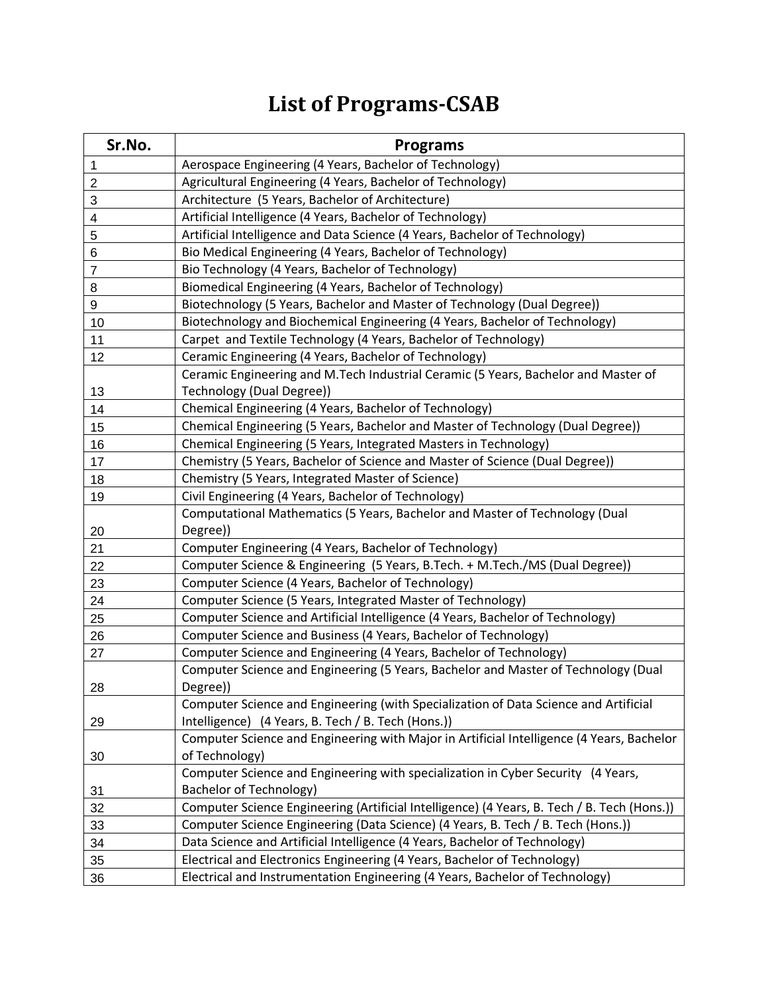## **List of Programs-CSAB**

| Sr.No.           | <b>Programs</b>                                                                             |
|------------------|---------------------------------------------------------------------------------------------|
| 1                | Aerospace Engineering (4 Years, Bachelor of Technology)                                     |
| $\boldsymbol{2}$ | Agricultural Engineering (4 Years, Bachelor of Technology)                                  |
| 3                | Architecture (5 Years, Bachelor of Architecture)                                            |
| 4                | Artificial Intelligence (4 Years, Bachelor of Technology)                                   |
| 5                | Artificial Intelligence and Data Science (4 Years, Bachelor of Technology)                  |
| 6                | Bio Medical Engineering (4 Years, Bachelor of Technology)                                   |
| $\overline{7}$   | Bio Technology (4 Years, Bachelor of Technology)                                            |
| 8                | Biomedical Engineering (4 Years, Bachelor of Technology)                                    |
| 9                | Biotechnology (5 Years, Bachelor and Master of Technology (Dual Degree))                    |
| 10               | Biotechnology and Biochemical Engineering (4 Years, Bachelor of Technology)                 |
| 11               | Carpet and Textile Technology (4 Years, Bachelor of Technology)                             |
| 12               | Ceramic Engineering (4 Years, Bachelor of Technology)                                       |
|                  | Ceramic Engineering and M.Tech Industrial Ceramic (5 Years, Bachelor and Master of          |
| 13               | Technology (Dual Degree))                                                                   |
| 14               | Chemical Engineering (4 Years, Bachelor of Technology)                                      |
| 15               | Chemical Engineering (5 Years, Bachelor and Master of Technology (Dual Degree))             |
| 16               | Chemical Engineering (5 Years, Integrated Masters in Technology)                            |
| 17               | Chemistry (5 Years, Bachelor of Science and Master of Science (Dual Degree))                |
| 18               | Chemistry (5 Years, Integrated Master of Science)                                           |
| 19               | Civil Engineering (4 Years, Bachelor of Technology)                                         |
|                  | Computational Mathematics (5 Years, Bachelor and Master of Technology (Dual                 |
| 20               | Degree))                                                                                    |
| 21               | Computer Engineering (4 Years, Bachelor of Technology)                                      |
| 22               | Computer Science & Engineering (5 Years, B.Tech. + M.Tech./MS (Dual Degree))                |
| 23               | Computer Science (4 Years, Bachelor of Technology)                                          |
| 24               | Computer Science (5 Years, Integrated Master of Technology)                                 |
| 25               | Computer Science and Artificial Intelligence (4 Years, Bachelor of Technology)              |
| 26               | Computer Science and Business (4 Years, Bachelor of Technology)                             |
| 27               | Computer Science and Engineering (4 Years, Bachelor of Technology)                          |
|                  | Computer Science and Engineering (5 Years, Bachelor and Master of Technology (Dual          |
| 28               | Degree))                                                                                    |
|                  | Computer Science and Engineering (with Specialization of Data Science and Artificial        |
| 29               | Intelligence) (4 Years, B. Tech / B. Tech (Hons.))                                          |
|                  | Computer Science and Engineering with Major in Artificial Intelligence (4 Years, Bachelor   |
| 30               | of Technology)                                                                              |
|                  | Computer Science and Engineering with specialization in Cyber Security (4 Years,            |
| 31               | <b>Bachelor of Technology)</b>                                                              |
| 32               | Computer Science Engineering (Artificial Intelligence) (4 Years, B. Tech / B. Tech (Hons.)) |
| 33               | Computer Science Engineering (Data Science) (4 Years, B. Tech / B. Tech (Hons.))            |
| 34               | Data Science and Artificial Intelligence (4 Years, Bachelor of Technology)                  |
| 35               | Electrical and Electronics Engineering (4 Years, Bachelor of Technology)                    |
| 36               | Electrical and Instrumentation Engineering (4 Years, Bachelor of Technology)                |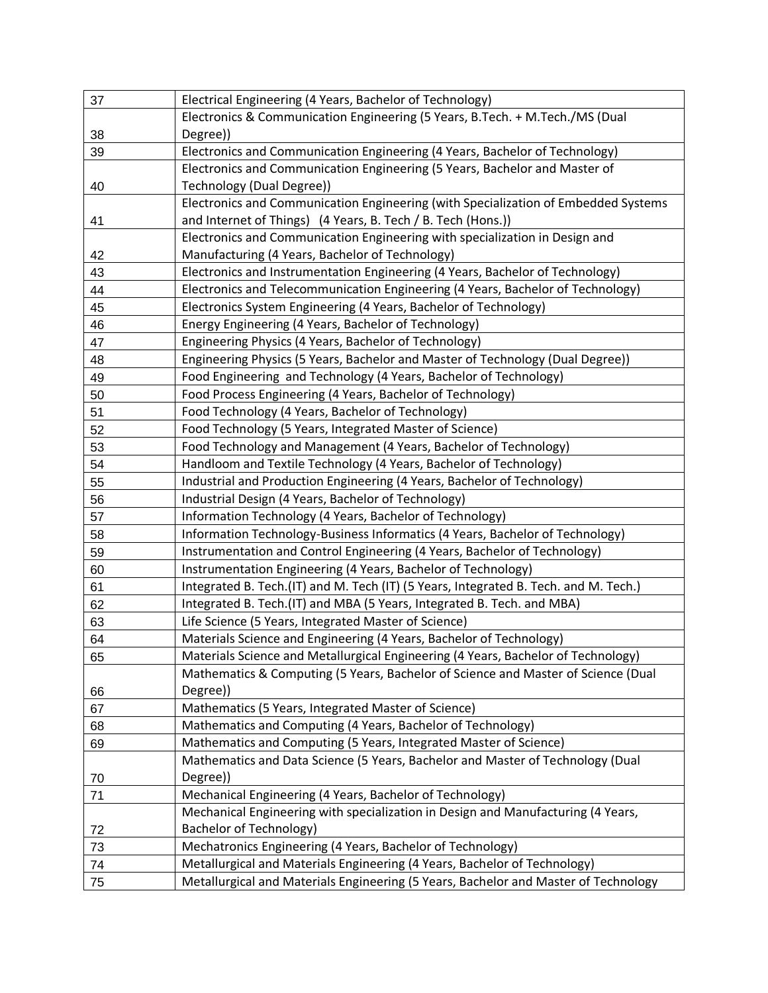| 37 | Electrical Engineering (4 Years, Bachelor of Technology)                             |
|----|--------------------------------------------------------------------------------------|
|    | Electronics & Communication Engineering (5 Years, B.Tech. + M.Tech./MS (Dual         |
| 38 | Degree))                                                                             |
| 39 | Electronics and Communication Engineering (4 Years, Bachelor of Technology)          |
|    | Electronics and Communication Engineering (5 Years, Bachelor and Master of           |
| 40 | Technology (Dual Degree))                                                            |
|    | Electronics and Communication Engineering (with Specialization of Embedded Systems   |
| 41 | and Internet of Things) (4 Years, B. Tech / B. Tech (Hons.))                         |
|    | Electronics and Communication Engineering with specialization in Design and          |
| 42 | Manufacturing (4 Years, Bachelor of Technology)                                      |
| 43 | Electronics and Instrumentation Engineering (4 Years, Bachelor of Technology)        |
| 44 | Electronics and Telecommunication Engineering (4 Years, Bachelor of Technology)      |
| 45 | Electronics System Engineering (4 Years, Bachelor of Technology)                     |
| 46 | Energy Engineering (4 Years, Bachelor of Technology)                                 |
| 47 | Engineering Physics (4 Years, Bachelor of Technology)                                |
| 48 | Engineering Physics (5 Years, Bachelor and Master of Technology (Dual Degree))       |
| 49 | Food Engineering and Technology (4 Years, Bachelor of Technology)                    |
| 50 | Food Process Engineering (4 Years, Bachelor of Technology)                           |
| 51 | Food Technology (4 Years, Bachelor of Technology)                                    |
| 52 | Food Technology (5 Years, Integrated Master of Science)                              |
| 53 | Food Technology and Management (4 Years, Bachelor of Technology)                     |
| 54 | Handloom and Textile Technology (4 Years, Bachelor of Technology)                    |
| 55 | Industrial and Production Engineering (4 Years, Bachelor of Technology)              |
| 56 | Industrial Design (4 Years, Bachelor of Technology)                                  |
| 57 | Information Technology (4 Years, Bachelor of Technology)                             |
| 58 | Information Technology-Business Informatics (4 Years, Bachelor of Technology)        |
| 59 | Instrumentation and Control Engineering (4 Years, Bachelor of Technology)            |
| 60 | Instrumentation Engineering (4 Years, Bachelor of Technology)                        |
| 61 | Integrated B. Tech.(IT) and M. Tech (IT) (5 Years, Integrated B. Tech. and M. Tech.) |
| 62 | Integrated B. Tech.(IT) and MBA (5 Years, Integrated B. Tech. and MBA)               |
| 63 | Life Science (5 Years, Integrated Master of Science)                                 |
| 64 | Materials Science and Engineering (4 Years, Bachelor of Technology)                  |
| 65 | Materials Science and Metallurgical Engineering (4 Years, Bachelor of Technology)    |
|    | Mathematics & Computing (5 Years, Bachelor of Science and Master of Science (Dual    |
| 66 | Degree))                                                                             |
| 67 | Mathematics (5 Years, Integrated Master of Science)                                  |
| 68 | Mathematics and Computing (4 Years, Bachelor of Technology)                          |
| 69 | Mathematics and Computing (5 Years, Integrated Master of Science)                    |
|    | Mathematics and Data Science (5 Years, Bachelor and Master of Technology (Dual       |
| 70 | Degree))                                                                             |
| 71 | Mechanical Engineering (4 Years, Bachelor of Technology)                             |
|    | Mechanical Engineering with specialization in Design and Manufacturing (4 Years,     |
| 72 | <b>Bachelor of Technology)</b>                                                       |
| 73 | Mechatronics Engineering (4 Years, Bachelor of Technology)                           |
| 74 | Metallurgical and Materials Engineering (4 Years, Bachelor of Technology)            |
| 75 | Metallurgical and Materials Engineering (5 Years, Bachelor and Master of Technology  |